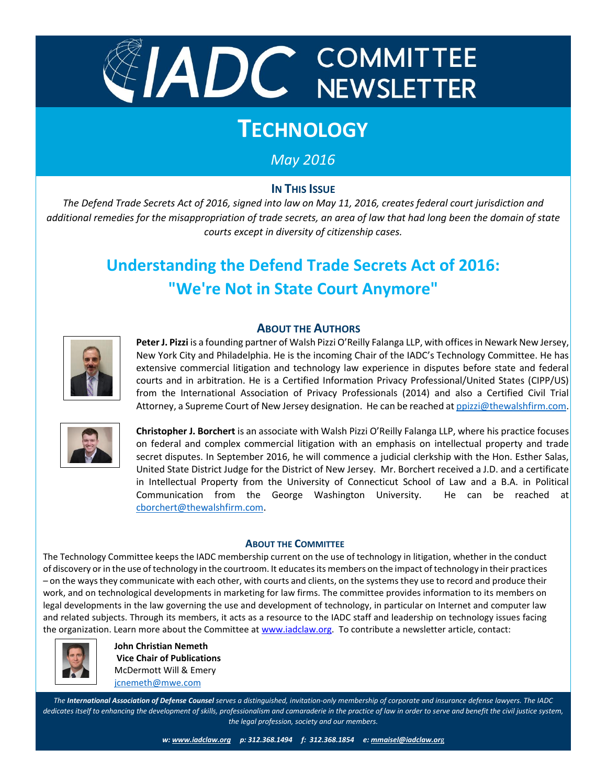

# **TECHNOLOGY**

# *May 2016*

### **IN THIS ISSUE**

*The Defend Trade Secrets Act of 2016, signed into law on May 11, 2016, creates federal court jurisdiction and additional remedies for the misappropriation of trade secrets, an area of law that had long been the domain of state courts except in diversity of citizenship cases.* 

# **Understanding the Defend Trade Secrets Act of 2016: "We're Not in State Court Anymore"**

#### **ABOUT THE AUTHORS**



Peter J. Pizzi is a founding partner of Walsh Pizzi O'Reilly Falanga LLP, with offices in Newark New Jersey, New York City and Philadelphia. He is the incoming Chair of the IADC's Technology Committee. He has extensive commercial litigation and technology law experience in disputes before state and federal courts and in arbitration. He is a Certified Information Privacy Professional/United States (CIPP/US) from the International Association of Privacy Professionals (2014) and also a Certified Civil Trial Attorney, a Supreme Court of New Jersey designation. He can be reached a[t ppizzi@thewalshfirm.com.](mailto:ppizzi@thewalshfirm.com)



**Christopher J. Borchert** is an associate with Walsh Pizzi O'Reilly Falanga LLP, where his practice focuses on federal and complex commercial litigation with an emphasis on intellectual property and trade secret disputes. In September 2016, he will commence a judicial clerkship with the Hon. Esther Salas, United State District Judge for the District of New Jersey. Mr. Borchert received a J.D. and a certificate in Intellectual Property from the University of Connecticut School of Law and a B.A. in Political Communication from the George Washington University. He can be reached at [cborchert@thewalshfirm.com.](mailto:cborchert@thewalshfirm.com)

#### **ABOUT THE COMMITTEE**

The Technology Committee keeps the IADC membership current on the use of technology in litigation, whether in the conduct of discovery or in the use of technology in the courtroom. It educates its members on the impact of technology in their practices – on the ways they communicate with each other, with courts and clients, on the systems they use to record and produce their work, and on technological developments in marketing for law firms. The committee provides information to its members on legal developments in the law governing the use and development of technology, in particular on Internet and computer law and related subjects. Through its members, it acts as a resource to the IADC staff and leadership on technology issues facing the organization. Learn more about the Committee at [www.iadclaw.org.](http://www.iadclaw.org/) To contribute a newsletter article, contact:



**John Christian Nemeth Vice Chair of Publications** McDermott Will & Emery [jcnemeth@mwe.com](mailto:jcnemeth@mwe.com)

 *dedicates itself to enhancing the development of skills, professionalism and camaraderie in the practice of law in order to serve and benefit the civil justice system, The International Association of Defense Counsel serves a distinguished, invitation-only membership of corporate and insurance defense lawyers. The IADC the legal profession, society and our members.*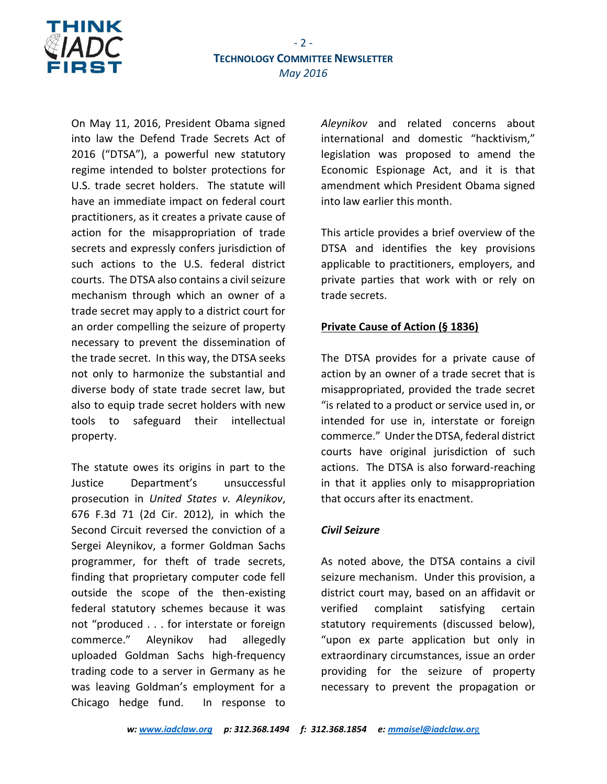

On May 11, 2016, President Obama signed into law the Defend Trade Secrets Act of 2016 ("DTSA"), a powerful new statutory regime intended to bolster protections for U.S. trade secret holders. The statute will have an immediate impact on federal court practitioners, as it creates a private cause of action for the misappropriation of trade secrets and expressly confers jurisdiction of such actions to the U.S. federal district courts. The DTSA also contains a civil seizure mechanism through which an owner of a trade secret may apply to a district court for an order compelling the seizure of property necessary to prevent the dissemination of the trade secret. In this way, the DTSA seeks not only to harmonize the substantial and diverse body of state trade secret law, but also to equip trade secret holders with new tools to safeguard their intellectual property.

The statute owes its origins in part to the Justice Department's unsuccessful prosecution in *United States v. Aleynikov*, 676 F.3d 71 (2d Cir. 2012), in which the Second Circuit reversed the conviction of a Sergei Aleynikov, a former Goldman Sachs programmer, for theft of trade secrets, finding that proprietary computer code fell outside the scope of the then-existing federal statutory schemes because it was not "produced . . . for interstate or foreign commerce." Aleynikov had allegedly uploaded Goldman Sachs high-frequency trading code to a server in Germany as he was leaving Goldman's employment for a Chicago hedge fund. In response to

*Aleynikov* and related concerns about international and domestic "hacktivism," legislation was proposed to amend the Economic Espionage Act, and it is that amendment which President Obama signed into law earlier this month.

This article provides a brief overview of the DTSA and identifies the key provisions applicable to practitioners, employers, and private parties that work with or rely on trade secrets.

#### **Private Cause of Action (§ 1836)**

The DTSA provides for a private cause of action by an owner of a trade secret that is misappropriated, provided the trade secret "is related to a product or service used in, or intended for use in, interstate or foreign commerce." Under the DTSA, federal district courts have original jurisdiction of such actions. The DTSA is also forward-reaching in that it applies only to misappropriation that occurs after its enactment.

#### *Civil Seizure*

As noted above, the DTSA contains a civil seizure mechanism. Under this provision, a district court may, based on an affidavit or verified complaint satisfying certain statutory requirements (discussed below), "upon ex parte application but only in extraordinary circumstances, issue an order providing for the seizure of property necessary to prevent the propagation or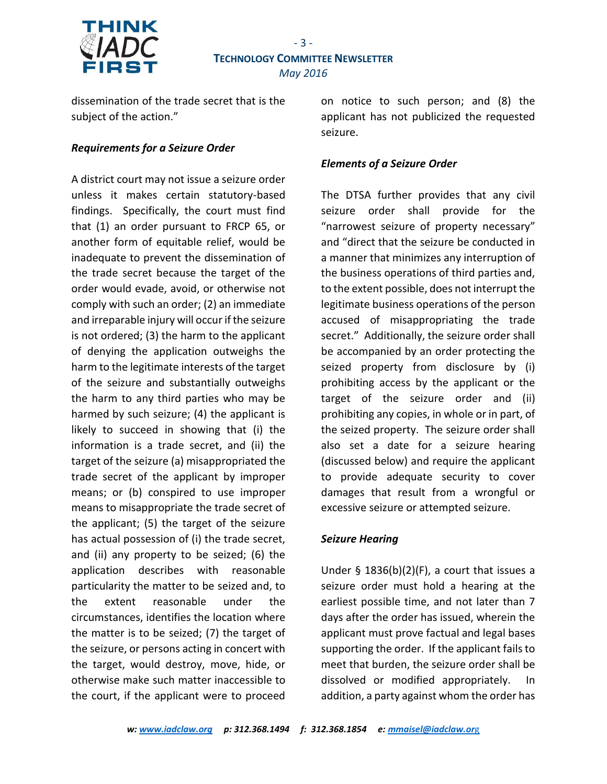

dissemination of the trade secret that is the subject of the action."

#### *Requirements for a Seizure Order*

A district court may not issue a seizure order unless it makes certain statutory-based findings. Specifically, the court must find that (1) an order pursuant to FRCP 65, or another form of equitable relief, would be inadequate to prevent the dissemination of the trade secret because the target of the order would evade, avoid, or otherwise not comply with such an order; (2) an immediate and irreparable injury will occur if the seizure is not ordered; (3) the harm to the applicant of denying the application outweighs the harm to the legitimate interests of the target of the seizure and substantially outweighs the harm to any third parties who may be harmed by such seizure; (4) the applicant is likely to succeed in showing that (i) the information is a trade secret, and (ii) the target of the seizure (a) misappropriated the trade secret of the applicant by improper means; or (b) conspired to use improper means to misappropriate the trade secret of the applicant; (5) the target of the seizure has actual possession of (i) the trade secret, and (ii) any property to be seized; (6) the application describes with reasonable particularity the matter to be seized and, to the extent reasonable under the circumstances, identifies the location where the matter is to be seized; (7) the target of the seizure, or persons acting in concert with the target, would destroy, move, hide, or otherwise make such matter inaccessible to the court, if the applicant were to proceed

on notice to such person; and (8) the applicant has not publicized the requested seizure.

#### *Elements of a Seizure Order*

The DTSA further provides that any civil seizure order shall provide for the "narrowest seizure of property necessary" and "direct that the seizure be conducted in a manner that minimizes any interruption of the business operations of third parties and, to the extent possible, does not interrupt the legitimate business operations of the person accused of misappropriating the trade secret." Additionally, the seizure order shall be accompanied by an order protecting the seized property from disclosure by (i) prohibiting access by the applicant or the target of the seizure order and (ii) prohibiting any copies, in whole or in part, of the seized property. The seizure order shall also set a date for a seizure hearing (discussed below) and require the applicant to provide adequate security to cover damages that result from a wrongful or excessive seizure or attempted seizure.

#### *Seizure Hearing*

Under  $\S$  1836(b)(2)(F), a court that issues a seizure order must hold a hearing at the earliest possible time, and not later than 7 days after the order has issued, wherein the applicant must prove factual and legal bases supporting the order. If the applicant fails to meet that burden, the seizure order shall be dissolved or modified appropriately. In addition, a party against whom the order has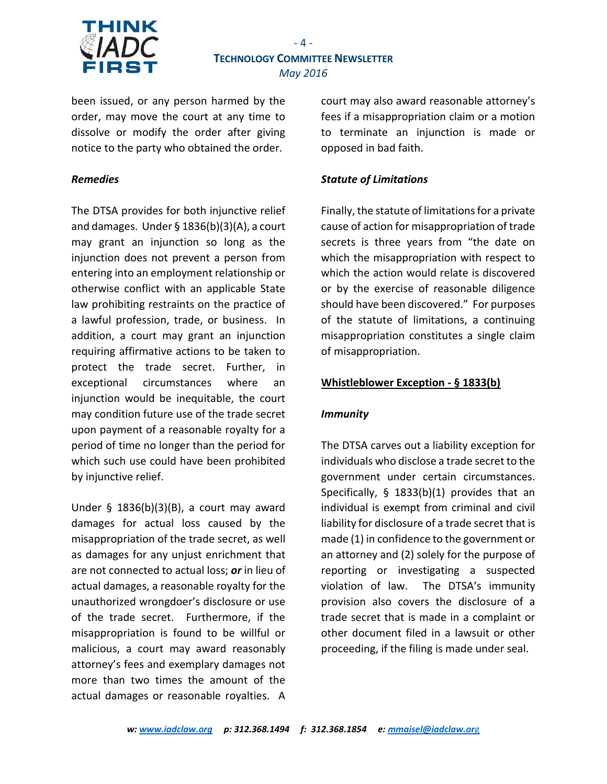

# $-4 -$ **TECHNOLOGY COMMITTEE NEWSLETTER** *May 2016*

been issued, or any person harmed by the order, may move the court at any time to dissolve or modify the order after giving notice to the party who obtained the order.

#### *Remedies*

The DTSA provides for both injunctive relief and damages. Under § 1836(b)(3)(A), a court may grant an injunction so long as the injunction does not prevent a person from entering into an employment relationship or otherwise conflict with an applicable State law prohibiting restraints on the practice of a lawful profession, trade, or business. In addition, a court may grant an injunction requiring affirmative actions to be taken to protect the trade secret. Further, in exceptional circumstances where an injunction would be inequitable, the court may condition future use of the trade secret upon payment of a reasonable royalty for a period of time no longer than the period for which such use could have been prohibited by injunctive relief.

Under § 1836(b)(3)(B), a court may award damages for actual loss caused by the misappropriation of the trade secret, as well as damages for any unjust enrichment that are not connected to actual loss; *or* in lieu of actual damages, a reasonable royalty for the unauthorized wrongdoer's disclosure or use of the trade secret. Furthermore, if the misappropriation is found to be willful or malicious, a court may award reasonably attorney's fees and exemplary damages not more than two times the amount of the actual damages or reasonable royalties. A

court may also award reasonable attorney's fees if a misappropriation claim or a motion to terminate an injunction is made or opposed in bad faith.

#### *Statute of Limitations*

Finally, the statute of limitations for a private cause of action for misappropriation of trade secrets is three years from "the date on which the misappropriation with respect to which the action would relate is discovered or by the exercise of reasonable diligence should have been discovered." For purposes of the statute of limitations, a continuing misappropriation constitutes a single claim of misappropriation.

#### **Whistleblower Exception - § 1833(b)**

#### *Immunity*

The DTSA carves out a liability exception for individuals who disclose a trade secret to the government under certain circumstances. Specifically, § 1833(b)(1) provides that an individual is exempt from criminal and civil liability for disclosure of a trade secret that is made (1) in confidence to the government or an attorney and (2) solely for the purpose of reporting or investigating a suspected violation of law. The DTSA's immunity provision also covers the disclosure of a trade secret that is made in a complaint or other document filed in a lawsuit or other proceeding, if the filing is made under seal.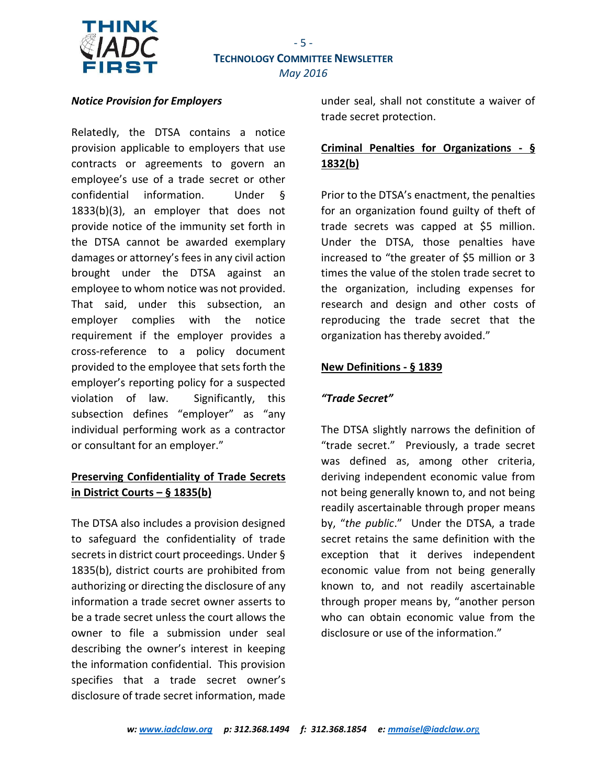

#### *Notice Provision for Employers*

Relatedly, the DTSA contains a notice provision applicable to employers that use contracts or agreements to govern an employee's use of a trade secret or other confidential information. Under § 1833(b)(3), an employer that does not provide notice of the immunity set forth in the DTSA cannot be awarded exemplary damages or attorney's fees in any civil action brought under the DTSA against an employee to whom notice was not provided. That said, under this subsection, an employer complies with the notice requirement if the employer provides a cross-reference to a policy document provided to the employee that sets forth the employer's reporting policy for a suspected violation of law. Significantly, this subsection defines "employer" as "any individual performing work as a contractor or consultant for an employer."

## **Preserving Confidentiality of Trade Secrets in District Courts – § 1835(b)**

The DTSA also includes a provision designed to safeguard the confidentiality of trade secrets in district court proceedings. Under § 1835(b), district courts are prohibited from authorizing or directing the disclosure of any information a trade secret owner asserts to be a trade secret unless the court allows the owner to file a submission under seal describing the owner's interest in keeping the information confidential. This provision specifies that a trade secret owner's disclosure of trade secret information, made under seal, shall not constitute a waiver of trade secret protection.

# **Criminal Penalties for Organizations - § 1832(b)**

Prior to the DTSA's enactment, the penalties for an organization found guilty of theft of trade secrets was capped at \$5 million. Under the DTSA, those penalties have increased to "the greater of \$5 million or 3 times the value of the stolen trade secret to the organization, including expenses for research and design and other costs of reproducing the trade secret that the organization has thereby avoided."

#### **New Definitions - § 1839**

#### *"Trade Secret"*

The DTSA slightly narrows the definition of "trade secret." Previously, a trade secret was defined as, among other criteria, deriving independent economic value from not being generally known to, and not being readily ascertainable through proper means by, "*the public*." Under the DTSA, a trade secret retains the same definition with the exception that it derives independent economic value from not being generally known to, and not readily ascertainable through proper means by, "another person who can obtain economic value from the disclosure or use of the information."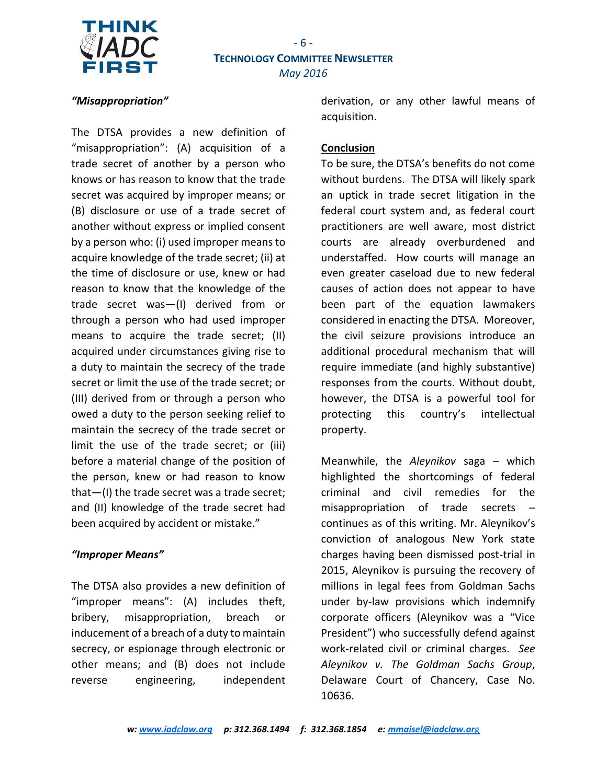

#### *"Misappropriation"*

The DTSA provides a new definition of "misappropriation": (A) acquisition of a trade secret of another by a person who knows or has reason to know that the trade secret was acquired by improper means; or (B) disclosure or use of a trade secret of another without express or implied consent by a person who: (i) used improper means to acquire knowledge of the trade secret; (ii) at the time of disclosure or use, knew or had reason to know that the knowledge of the trade secret was—(I) derived from or through a person who had used improper means to acquire the trade secret; (II) acquired under circumstances giving rise to a duty to maintain the secrecy of the trade secret or limit the use of the trade secret; or (III) derived from or through a person who owed a duty to the person seeking relief to maintain the secrecy of the trade secret or limit the use of the trade secret; or (iii) before a material change of the position of the person, knew or had reason to know that—(I) the trade secret was a trade secret; and (II) knowledge of the trade secret had been acquired by accident or mistake."

#### *"Improper Means"*

The DTSA also provides a new definition of "improper means": (A) includes theft, bribery, misappropriation, breach or inducement of a breach of a duty to maintain secrecy, or espionage through electronic or other means; and (B) does not include reverse engineering, independent

derivation, or any other lawful means of acquisition.

#### **Conclusion**

To be sure, the DTSA's benefits do not come without burdens. The DTSA will likely spark an uptick in trade secret litigation in the federal court system and, as federal court practitioners are well aware, most district courts are already overburdened and understaffed. How courts will manage an even greater caseload due to new federal causes of action does not appear to have been part of the equation lawmakers considered in enacting the DTSA. Moreover, the civil seizure provisions introduce an additional procedural mechanism that will require immediate (and highly substantive) responses from the courts. Without doubt, however, the DTSA is a powerful tool for protecting this country's intellectual property.

Meanwhile, the *Aleynikov* saga ─ which highlighted the shortcomings of federal criminal and civil remedies for the misappropriation of trade secrets  $$ continues as of this writing. Mr. Aleynikov's conviction of analogous New York state charges having been dismissed post-trial in 2015, Aleynikov is pursuing the recovery of millions in legal fees from Goldman Sachs under by-law provisions which indemnify corporate officers (Aleynikov was a "Vice President") who successfully defend against work-related civil or criminal charges. *See Aleynikov v. The Goldman Sachs Group*, Delaware Court of Chancery, Case No. 10636.